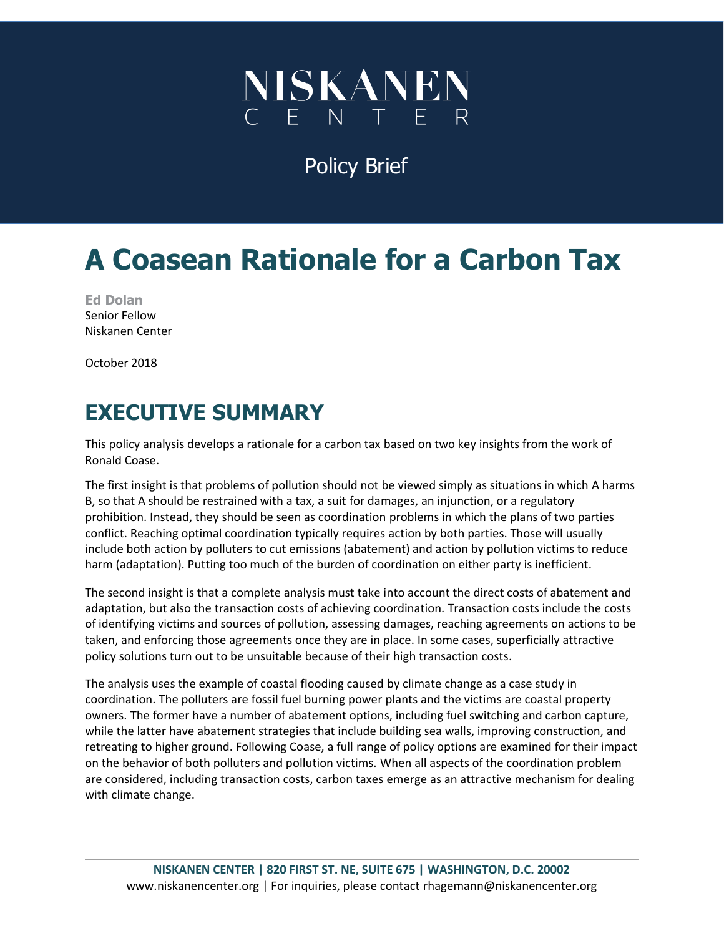

Policy Brief

# **A Coasean Rationale for a Carbon Tax**

**Ed Dolan**  Senior Fellow Niskanen Center

October 2018

# **EXECUTIVE SUMMARY**

This policy analysis develops a rationale for a carbon tax based on two key insights from the work of Ronald Coase.

The first insight is that problems of pollution should not be viewed simply as situations in which A harms B, so that A should be restrained with a tax, a suit for damages, an injunction, or a regulatory prohibition. Instead, they should be seen as coordination problems in which the plans of two parties conflict. Reaching optimal coordination typically requires action by both parties. Those will usually include both action by polluters to cut emissions (abatement) and action by pollution victims to reduce harm (adaptation). Putting too much of the burden of coordination on either party is inefficient.

The second insight is that a complete analysis must take into account the direct costs of abatement and adaptation, but also the transaction costs of achieving coordination. Transaction costs include the costs of identifying victims and sources of pollution, assessing damages, reaching agreements on actions to be taken, and enforcing those agreements once they are in place. In some cases, superficially attractive policy solutions turn out to be unsuitable because of their high transaction costs.

The analysis uses the example of coastal flooding caused by climate change as a case study in coordination. The polluters are fossil fuel burning power plants and the victims are coastal property owners. The former have a number of abatement options, including fuel switching and carbon capture, while the latter have abatement strategies that include building sea walls, improving construction, and retreating to higher ground. Following Coase, a full range of policy options are examined for their impact on the behavior of both polluters and pollution victims. When all aspects of the coordination problem are considered, including transaction costs, carbon taxes emerge as an attractive mechanism for dealing with climate change.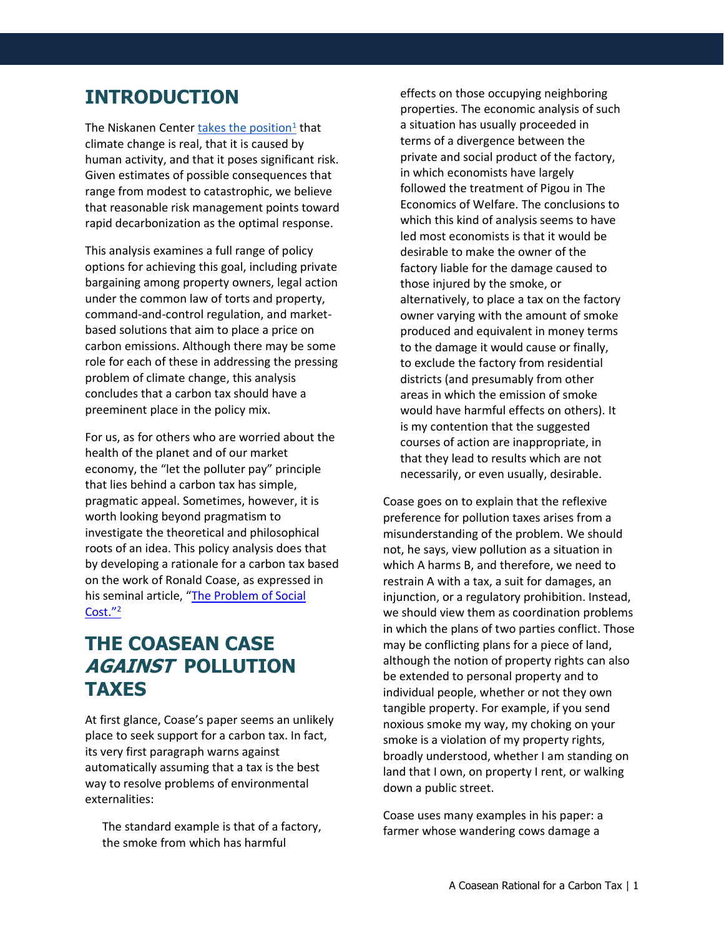## **INTRODUCTION**

The Niskanen Center **takes the position**<sup>1</sup> that climate change is real, that it is caused by human activity, and that it poses significant risk. Given estimates of possible consequences that range from modest to catastrophic, we believe that reasonable risk management points toward rapid decarbonization as the optimal response.

This analysis examines a full range of policy options for achieving this goal, including private bargaining among property owners, legal action under the common law of torts and property, command-and-control regulation, and marketbased solutions that aim to place a price on carbon emissions. Although there may be some role for each of these in addressing the pressing problem of climate change, this analysis concludes that a carbon tax should have a preeminent place in the policy mix.

For us, as for others who are worried about the health of the planet and of our market economy, the "let the polluter pay" principle that lies behind a carbon tax has simple, pragmatic appeal. Sometimes, however, it is worth looking beyond pragmatism to investigate the theoretical and philosophical roots of an idea. This policy analysis does that by developing a rationale for a carbon tax based on the work of Ronald Coase, as expressed in his seminal article, "[The Problem of Social](https://www.law.uchicago.edu/files/file/coase-problem.pdf)  [Cost."](https://www.law.uchicago.edu/files/file/coase-problem.pdf)<sup>2</sup>

## **THE COASEAN CASE AGAINST POLLUTION TAXES**

At first glance, Coase's paper seems an unlikely place to seek support for a carbon tax. In fact, its very first paragraph warns against automatically assuming that a tax is the best way to resolve problems of environmental externalities:

The standard example is that of a factory, the smoke from which has harmful

effects on those occupying neighboring properties. The economic analysis of such a situation has usually proceeded in terms of a divergence between the private and social product of the factory, in which economists have largely followed the treatment of Pigou in The Economics of Welfare. The conclusions to which this kind of analysis seems to have led most economists is that it would be desirable to make the owner of the factory liable for the damage caused to those injured by the smoke, or alternatively, to place a tax on the factory owner varying with the amount of smoke produced and equivalent in money terms to the damage it would cause or finally, to exclude the factory from residential districts (and presumably from other areas in which the emission of smoke would have harmful effects on others). It is my contention that the suggested courses of action are inappropriate, in that they lead to results which are not necessarily, or even usually, desirable.

Coase goes on to explain that the reflexive preference for pollution taxes arises from a misunderstanding of the problem. We should not, he says, view pollution as a situation in which A harms B, and therefore, we need to restrain A with a tax, a suit for damages, an injunction, or a regulatory prohibition. Instead, we should view them as coordination problems in which the plans of two parties conflict. Those may be conflicting plans for a piece of land, although the notion of property rights can also be extended to personal property and to individual people, whether or not they own tangible property. For example, if you send noxious smoke my way, my choking on your smoke is a violation of my property rights, broadly understood, whether I am standing on land that I own, on property I rent, or walking down a public street.

Coase uses many examples in his paper: a farmer whose wandering cows damage a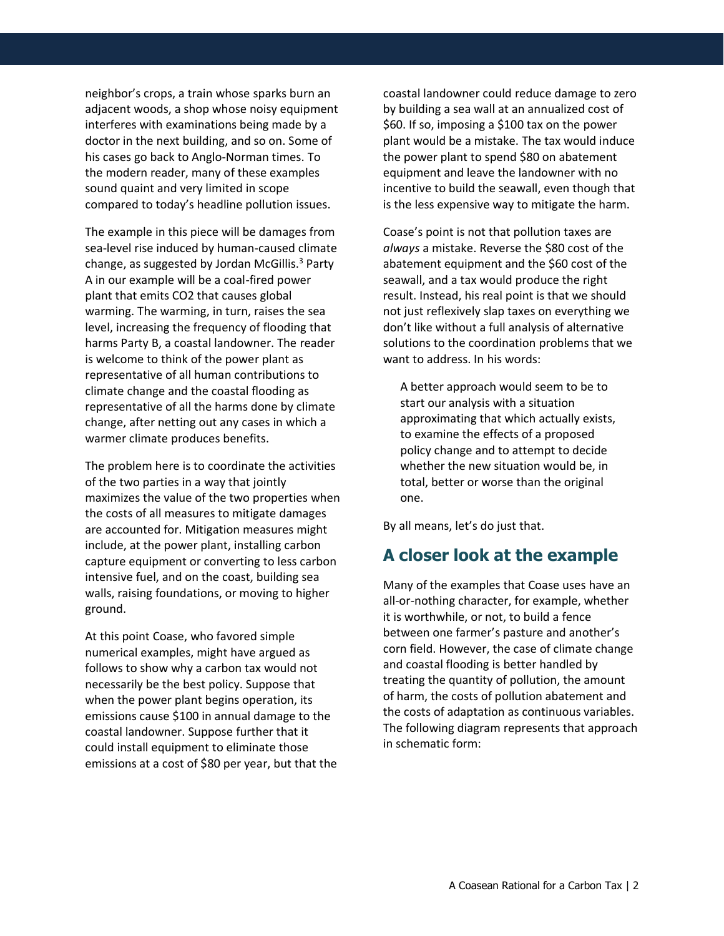neighbor's crops, a train whose sparks burn an adjacent woods, a shop whose noisy equipment interferes with examinations being made by a doctor in the next building, and so on. Some of his cases go back to Anglo-Norman times. To the modern reader, many of these examples sound quaint and very limited in scope compared to today's headline pollution issues.

The example in this piece will be damages from sea-level rise induced by human-caused climate change, as suggested by Jordan McGillis.<sup>3</sup> Party A in our example will be a coal-fired power plant that emits CO2 that causes global warming. The warming, in turn, raises the sea level, increasing the frequency of flooding that harms Party B, a coastal landowner. The reader is welcome to think of the power plant as representative of all human contributions to climate change and the coastal flooding as representative of all the harms done by climate change, after netting out any cases in which a warmer climate produces benefits.

The problem here is to coordinate the activities of the two parties in a way that jointly maximizes the value of the two properties when the costs of all measures to mitigate damages are accounted for. Mitigation measures might include, at the power plant, installing carbon capture equipment or converting to less carbon intensive fuel, and on the coast, building sea walls, raising foundations, or moving to higher ground.

At this point Coase, who favored simple numerical examples, might have argued as follows to show why a carbon tax would not necessarily be the best policy. Suppose that when the power plant begins operation, its emissions cause \$100 in annual damage to the coastal landowner. Suppose further that it could install equipment to eliminate those emissions at a cost of \$80 per year, but that the coastal landowner could reduce damage to zero by building a sea wall at an annualized cost of \$60. If so, imposing a \$100 tax on the power plant would be a mistake. The tax would induce the power plant to spend \$80 on abatement equipment and leave the landowner with no incentive to build the seawall, even though that is the less expensive way to mitigate the harm.

Coase's point is not that pollution taxes are *always* a mistake. Reverse the \$80 cost of the abatement equipment and the \$60 cost of the seawall, and a tax would produce the right result. Instead, his real point is that we should not just reflexively slap taxes on everything we don't like without a full analysis of alternative solutions to the coordination problems that we want to address. In his words:

A better approach would seem to be to start our analysis with a situation approximating that which actually exists, to examine the effects of a proposed policy change and to attempt to decide whether the new situation would be, in total, better or worse than the original one.

By all means, let's do just that.

#### **A closer look at the example**

Many of the examples that Coase uses have an all-or-nothing character, for example, whether it is worthwhile, or not, to build a fence between one farmer's pasture and another's corn field. However, the case of climate change and coastal flooding is better handled by treating the quantity of pollution, the amount of harm, the costs of pollution abatement and the costs of adaptation as continuous variables. The following diagram represents that approach in schematic form: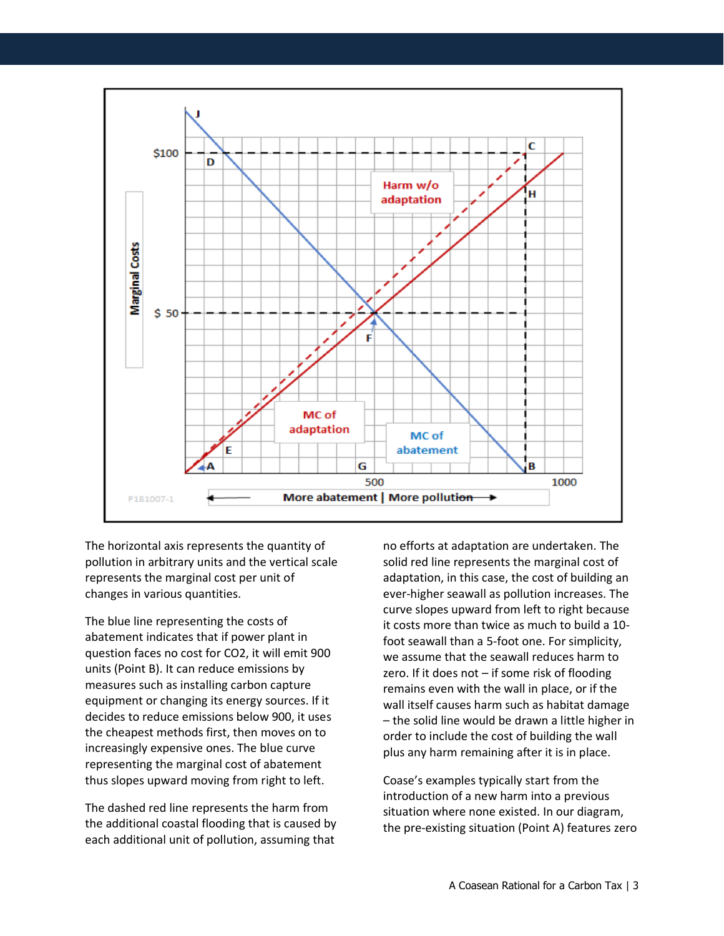

The horizontal axis represents the quantity of pollution in arbitrary units and the vertical scale represents the marginal cost per unit of changes in various quantities.

The blue line representing the costs of abatement indicates that if power plant in question faces no cost for CO2, it will emit 900 units (Point B). It can reduce emissions by measures such as installing carbon capture equipment or changing its energy sources. If it decides to reduce emissions below 900, it uses the cheapest methods first, then moves on to increasingly expensive ones. The blue curve representing the marginal cost of abatement thus slopes upward moving from right to left.

The dashed red line represents the harm from the additional coastal flooding that is caused by each additional unit of pollution, assuming that

no efforts at adaptation are undertaken. The solid red line represents the marginal cost of adaptation, in this case, the cost of building an ever-higher seawall as pollution increases. The curve slopes upward from left to right because it costs more than twice as much to build a 10 foot seawall than a 5-foot one. For simplicity, we assume that the seawall reduces harm to zero. If it does not – if some risk of flooding remains even with the wall in place, or if the wall itself causes harm such as habitat damage – the solid line would be drawn a little higher in order to include the cost of building the wall plus any harm remaining after it is in place.

Coase's examples typically start from the introduction of a new harm into a previous situation where none existed. In our diagram, the pre-existing situation (Point A) features zero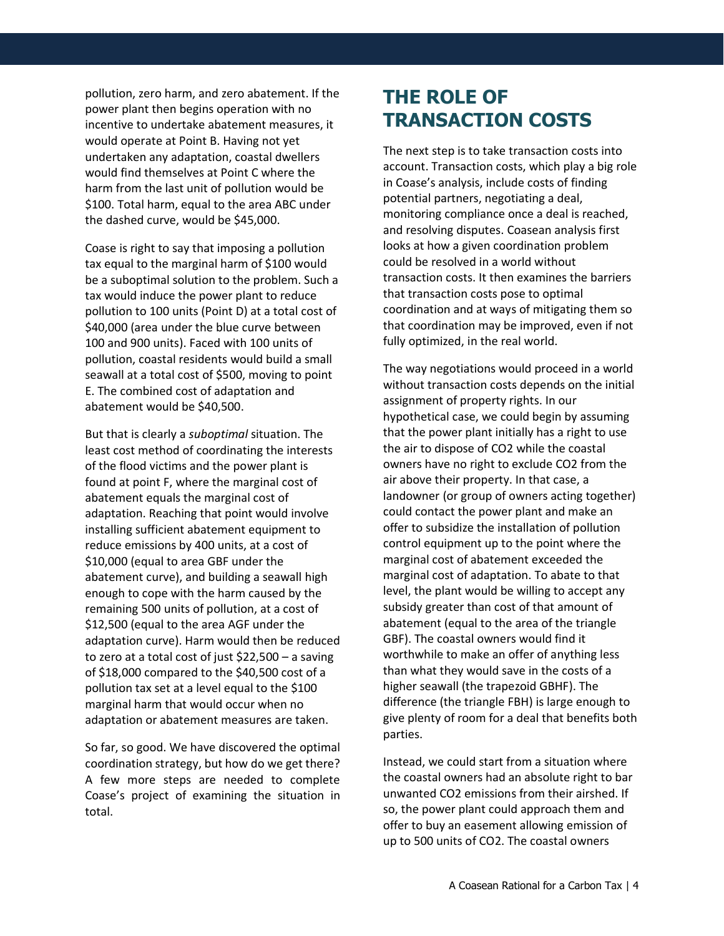pollution, zero harm, and zero abatement. If the power plant then begins operation with no incentive to undertake abatement measures, it would operate at Point B. Having not yet undertaken any adaptation, coastal dwellers would find themselves at Point C where the harm from the last unit of pollution would be \$100. Total harm, equal to the area ABC under the dashed curve, would be \$45,000.

Coase is right to say that imposing a pollution tax equal to the marginal harm of \$100 would be a suboptimal solution to the problem. Such a tax would induce the power plant to reduce pollution to 100 units (Point D) at a total cost of \$40,000 (area under the blue curve between 100 and 900 units). Faced with 100 units of pollution, coastal residents would build a small seawall at a total cost of \$500, moving to point E. The combined cost of adaptation and abatement would be \$40,500.

But that is clearly a *suboptimal* situation. The least cost method of coordinating the interests of the flood victims and the power plant is found at point F, where the marginal cost of abatement equals the marginal cost of adaptation. Reaching that point would involve installing sufficient abatement equipment to reduce emissions by 400 units, at a cost of \$10,000 (equal to area GBF under the abatement curve), and building a seawall high enough to cope with the harm caused by the remaining 500 units of pollution, at a cost of \$12,500 (equal to the area AGF under the adaptation curve). Harm would then be reduced to zero at a total cost of just \$22,500 – a saving of \$18,000 compared to the \$40,500 cost of a pollution tax set at a level equal to the \$100 marginal harm that would occur when no adaptation or abatement measures are taken.

So far, so good. We have discovered the optimal coordination strategy, but how do we get there? A few more steps are needed to complete Coase's project of examining the situation in total.

## **THE ROLE OF TRANSACTION COSTS**

The next step is to take transaction costs into account. Transaction costs, which play a big role in Coase's analysis, include costs of finding potential partners, negotiating a deal, monitoring compliance once a deal is reached, and resolving disputes. Coasean analysis first looks at how a given coordination problem could be resolved in a world without transaction costs. It then examines the barriers that transaction costs pose to optimal coordination and at ways of mitigating them so that coordination may be improved, even if not fully optimized, in the real world.

The way negotiations would proceed in a world without transaction costs depends on the initial assignment of property rights. In our hypothetical case, we could begin by assuming that the power plant initially has a right to use the air to dispose of CO2 while the coastal owners have no right to exclude CO2 from the air above their property. In that case, a landowner (or group of owners acting together) could contact the power plant and make an offer to subsidize the installation of pollution control equipment up to the point where the marginal cost of abatement exceeded the marginal cost of adaptation. To abate to that level, the plant would be willing to accept any subsidy greater than cost of that amount of abatement (equal to the area of the triangle GBF). The coastal owners would find it worthwhile to make an offer of anything less than what they would save in the costs of a higher seawall (the trapezoid GBHF). The difference (the triangle FBH) is large enough to give plenty of room for a deal that benefits both parties.

Instead, we could start from a situation where the coastal owners had an absolute right to bar unwanted CO2 emissions from their airshed. If so, the power plant could approach them and offer to buy an easement allowing emission of up to 500 units of CO2. The coastal owners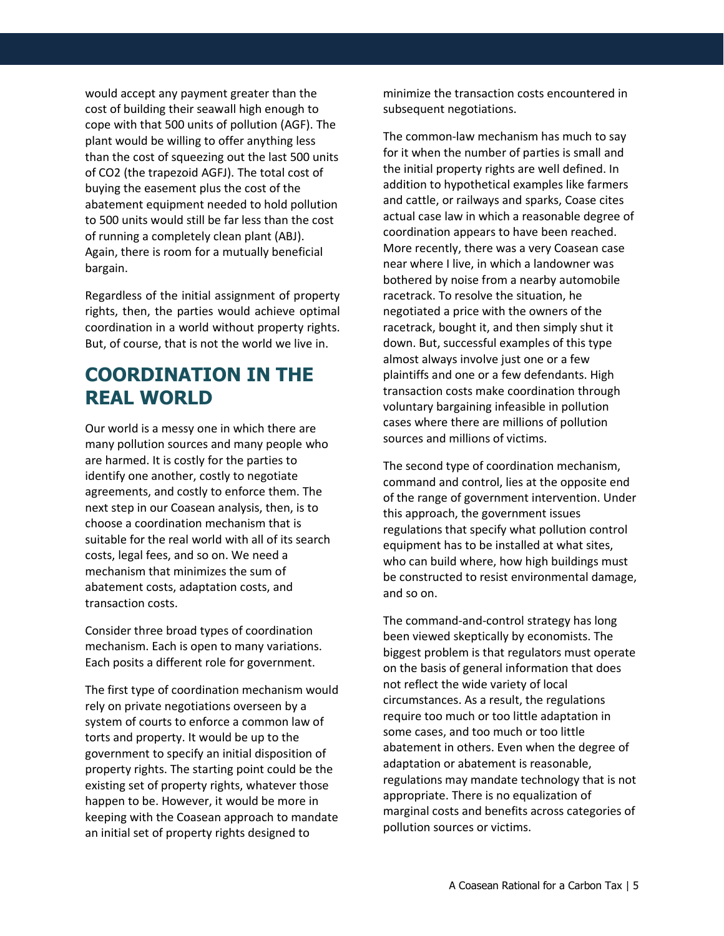would accept any payment greater than the cost of building their seawall high enough to cope with that 500 units of pollution (AGF). The plant would be willing to offer anything less than the cost of squeezing out the last 500 units of CO2 (the trapezoid AGFJ). The total cost of buying the easement plus the cost of the abatement equipment needed to hold pollution to 500 units would still be far less than the cost of running a completely clean plant (ABJ). Again, there is room for a mutually beneficial bargain.

Regardless of the initial assignment of property rights, then, the parties would achieve optimal coordination in a world without property rights. But, of course, that is not the world we live in.

## **COORDINATION IN THE REAL WORLD**

Our world is a messy one in which there are many pollution sources and many people who are harmed. It is costly for the parties to identify one another, costly to negotiate agreements, and costly to enforce them. The next step in our Coasean analysis, then, is to choose a coordination mechanism that is suitable for the real world with all of its search costs, legal fees, and so on. We need a mechanism that minimizes the sum of abatement costs, adaptation costs, and transaction costs.

Consider three broad types of coordination mechanism. Each is open to many variations. Each posits a different role for government.

The first type of coordination mechanism would rely on private negotiations overseen by a system of courts to enforce a common law of torts and property. It would be up to the government to specify an initial disposition of property rights. The starting point could be the existing set of property rights, whatever those happen to be. However, it would be more in keeping with the Coasean approach to mandate an initial set of property rights designed to

minimize the transaction costs encountered in subsequent negotiations.

The common-law mechanism has much to say for it when the number of parties is small and the initial property rights are well defined. In addition to hypothetical examples like farmers and cattle, or railways and sparks, Coase cites actual case law in which a reasonable degree of coordination appears to have been reached. More recently, there was a very Coasean case near where I live, in which a landowner was bothered by noise from a nearby automobile racetrack. To resolve the situation, he negotiated a price with the owners of the racetrack, bought it, and then simply shut it down. But, successful examples of this type almost always involve just one or a few plaintiffs and one or a few defendants. High transaction costs make coordination through voluntary bargaining infeasible in pollution cases where there are millions of pollution sources and millions of victims.

The second type of coordination mechanism, command and control, lies at the opposite end of the range of government intervention. Under this approach, the government issues regulations that specify what pollution control equipment has to be installed at what sites, who can build where, how high buildings must be constructed to resist environmental damage, and so on.

The command-and-control strategy has long been viewed skeptically by economists. The biggest problem is that regulators must operate on the basis of general information that does not reflect the wide variety of local circumstances. As a result, the regulations require too much or too little adaptation in some cases, and too much or too little abatement in others. Even when the degree of adaptation or abatement is reasonable, regulations may mandate technology that is not appropriate. There is no equalization of marginal costs and benefits across categories of pollution sources or victims.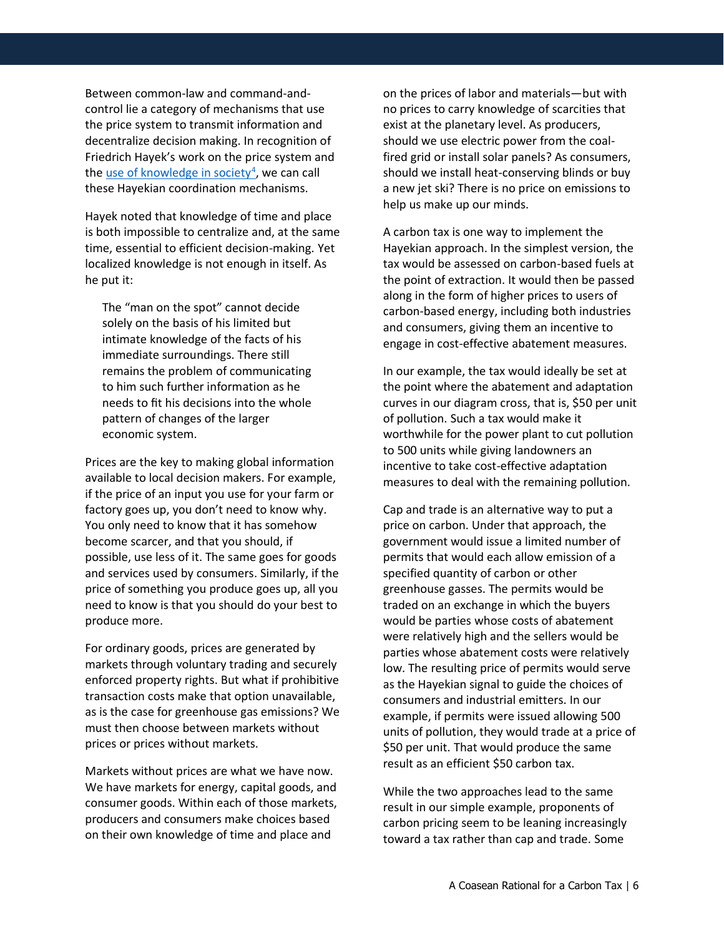Between common-law and command-andcontrol lie a category of mechanisms that use the price system to transmit information and decentralize decision making. In recognition of Friedrich Hayek's work on the price system and th[e use of knowledge in society](http://lf-oll.s3.amazonaws.com/titles/2486/Hayek_Knowledge1945.pdf)<sup>4</sup>, we can call these Hayekian coordination mechanisms.

Hayek noted that knowledge of time and place is both impossible to centralize and, at the same time, essential to efficient decision-making. Yet localized knowledge is not enough in itself. As he put it:

The "man on the spot" cannot decide solely on the basis of his limited but intimate knowledge of the facts of his immediate surroundings. There still remains the problem of communicating to him such further information as he needs to fit his decisions into the whole pattern of changes of the larger economic system.

Prices are the key to making global information available to local decision makers. For example, if the price of an input you use for your farm or factory goes up, you don't need to know why. You only need to know that it has somehow become scarcer, and that you should, if possible, use less of it. The same goes for goods and services used by consumers. Similarly, if the price of something you produce goes up, all you need to know is that you should do your best to produce more.

For ordinary goods, prices are generated by markets through voluntary trading and securely enforced property rights. But what if prohibitive transaction costs make that option unavailable, as is the case for greenhouse gas emissions? We must then choose between markets without prices or prices without markets.

Markets without prices are what we have now. We have markets for energy, capital goods, and consumer goods. Within each of those markets, producers and consumers make choices based on their own knowledge of time and place and

on the prices of labor and materials—but with no prices to carry knowledge of scarcities that exist at the planetary level. As producers, should we use electric power from the coalfired grid or install solar panels? As consumers, should we install heat-conserving blinds or buy a new jet ski? There is no price on emissions to help us make up our minds.

A carbon tax is one way to implement the Hayekian approach. In the simplest version, the tax would be assessed on carbon-based fuels at the point of extraction. It would then be passed along in the form of higher prices to users of carbon-based energy, including both industries and consumers, giving them an incentive to engage in cost-effective abatement measures.

In our example, the tax would ideally be set at the point where the abatement and adaptation curves in our diagram cross, that is, \$50 per unit of pollution. Such a tax would make it worthwhile for the power plant to cut pollution to 500 units while giving landowners an incentive to take cost-effective adaptation measures to deal with the remaining pollution.

Cap and trade is an alternative way to put a price on carbon. Under that approach, the government would issue a limited number of permits that would each allow emission of a specified quantity of carbon or other greenhouse gasses. The permits would be traded on an exchange in which the buyers would be parties whose costs of abatement were relatively high and the sellers would be parties whose abatement costs were relatively low. The resulting price of permits would serve as the Hayekian signal to guide the choices of consumers and industrial emitters. In our example, if permits were issued allowing 500 units of pollution, they would trade at a price of \$50 per unit. That would produce the same result as an efficient \$50 carbon tax.

While the two approaches lead to the same result in our simple example, proponents of carbon pricing seem to be leaning increasingly toward a tax rather than cap and trade. Some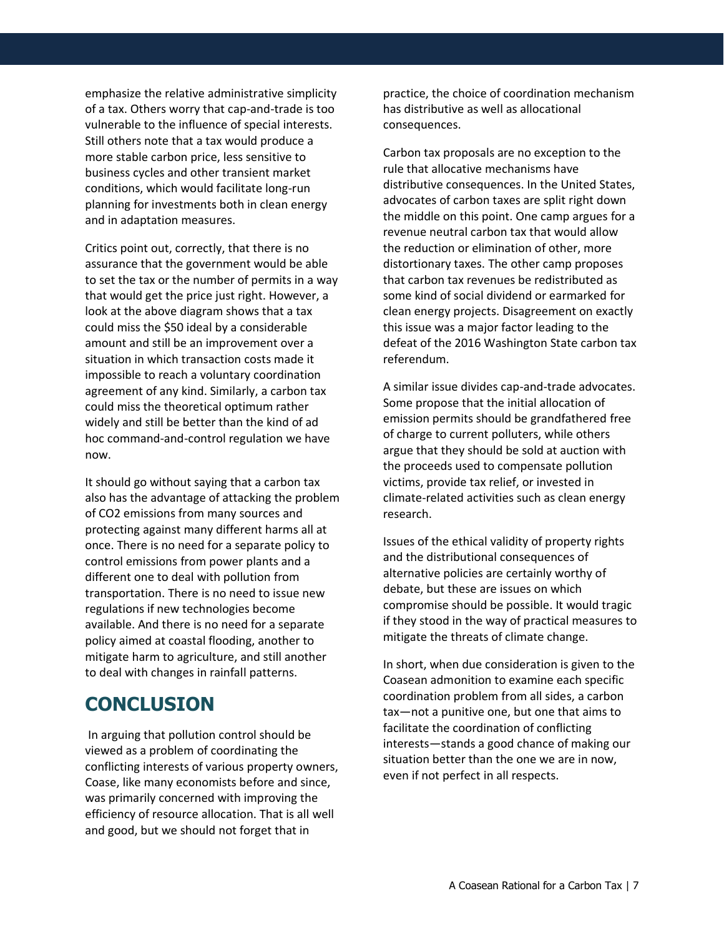emphasize the relative administrative simplicity of a tax. Others worry that cap-and-trade is too vulnerable to the influence of special interests. Still others note that a tax would produce a more stable carbon price, less sensitive to business cycles and other transient market conditions, which would facilitate long-run planning for investments both in clean energy and in adaptation measures.

Critics point out, correctly, that there is no assurance that the government would be able to set the tax or the number of permits in a way that would get the price just right. However, a look at the above diagram shows that a tax could miss the \$50 ideal by a considerable amount and still be an improvement over a situation in which transaction costs made it impossible to reach a voluntary coordination agreement of any kind. Similarly, a carbon tax could miss the theoretical optimum rather widely and still be better than the kind of ad hoc command-and-control regulation we have now.

It should go without saying that a carbon tax also has the advantage of attacking the problem of CO2 emissions from many sources and protecting against many different harms all at once. There is no need for a separate policy to control emissions from power plants and a different one to deal with pollution from transportation. There is no need to issue new regulations if new technologies become available. And there is no need for a separate policy aimed at coastal flooding, another to mitigate harm to agriculture, and still another to deal with changes in rainfall patterns.

### **CONCLUSION**

In arguing that pollution control should be viewed as a problem of coordinating the conflicting interests of various property owners, Coase, like many economists before and since, was primarily concerned with improving the efficiency of resource allocation. That is all well and good, but we should not forget that in

practice, the choice of coordination mechanism has distributive as well as allocational consequences.

Carbon tax proposals are no exception to the rule that allocative mechanisms have distributive consequences. In the United States, advocates of carbon taxes are split right down the middle on this point. One camp argues for a revenue neutral carbon tax that would allow the reduction or elimination of other, more distortionary taxes. The other camp proposes that carbon tax revenues be redistributed as some kind of social dividend or earmarked for clean energy projects. Disagreement on exactly this issue was a major factor leading to the defeat of the 2016 Washington State carbon tax referendum.

A similar issue divides cap-and-trade advocates. Some propose that the initial allocation of emission permits should be grandfathered free of charge to current polluters, while others argue that they should be sold at auction with the proceeds used to compensate pollution victims, provide tax relief, or invested in climate-related activities such as clean energy research.

Issues of the ethical validity of property rights and the distributional consequences of alternative policies are certainly worthy of debate, but these are issues on which compromise should be possible. It would tragic if they stood in the way of practical measures to mitigate the threats of climate change.

In short, when due consideration is given to the Coasean admonition to examine each specific coordination problem from all sides, a carbon tax—not a punitive one, but one that aims to facilitate the coordination of conflicting interests—stands a good chance of making our situation better than the one we are in now, even if not perfect in all respects.